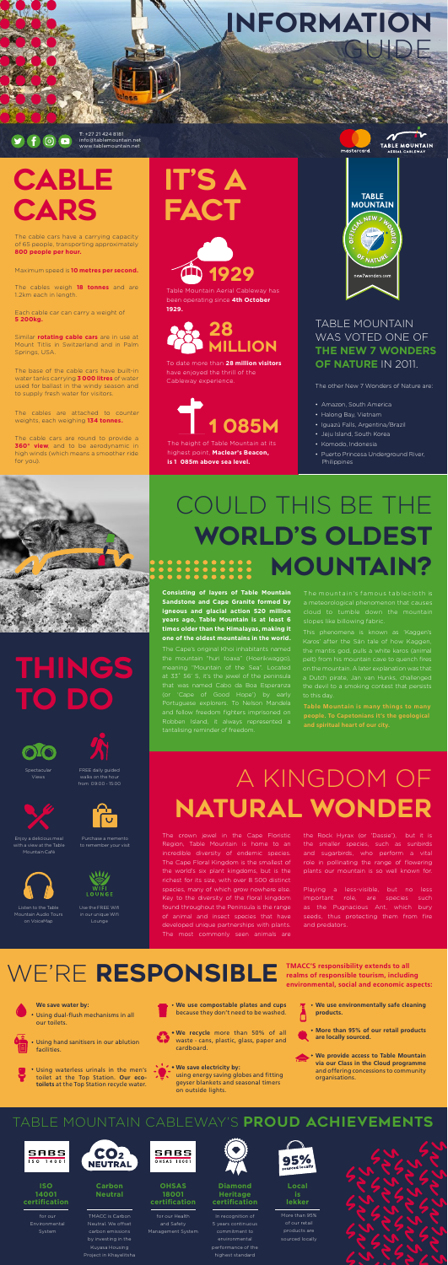**Consisting of layers of Table Mountain Sandstone and Cape Granite formed by igneous and glacial action 520 million years ago, Table Mountain is at least 6 times older than the Himalayas, making it one of the oldest mountains in the world.** 

The Cape's original Khoi inhabitants named

## at 33˚ 56' S, it's the jewel of the peninsula and fellow freedom fighters imprisoned on

Playing a less-visible, but no less important role, are species such as the Pugnacious Ant, which bury seeds, thus protecting them from fire and predators.

### WE'RE RESPONSIBLE **TMACC'S responsibility extends to all**



The crown jewel in the Cape Floristic Region, Table Mountain is home to an incredible diversity of endemic species. The Cape Floral Kingdom is the smallest of the world's six plant kingdoms, but is the richest for its size, with over 8 500 distinct species, many of which grow nowhere else. Key to the diversity of the floral kingdom found throughout the Peninsula is the range of animal and insect species that have developed unique partnerships with plants. The most commonly seen animals are

# IT'S A **FACT**

the Rock Hyrax (or 'Dassie'), but it is the smaller species, such as sunbirds and sugarbirds, who perform a vital role in pollinating the range of flowering plants our mountain is so well known for.

# A KINGDOM OF NATURAL WONDER

The height of Table Mountain at its highest point, **Maclear's Beacon, is 1 085m above sea level.**



mastercard

**TABLE MOUNTAIN** 

### TABLE MOUNTAIN WAS VOTED ONE OF **THE NEW 7 WONDERS OF NATURE** IN 2011.

The other New 7 Wonders of Nature are:

- Amazon, South America
- Halong Bay, Vietnam
- Iguazú Falls, Argentina/Brazil
- Jeju Island, South Korea
- Komodo, Indonesia
- Puerto Princesa Underground River, Philippines



To date more than **28 million visitors** have enjoyed the thrill of the Cableway experience.

Table Mountain Aerial Cableway has been operating since **4th October 1929.**

# CABLE CARS

**We save water by:**

- Using dual-flush mechanisms in all our toilets.
- 
- Using hand sanitisers in our ablution facilities.
- Using waterless urinals in the men's toilet at the Top Station. **Our ecotoilets** at the Top Station recycle water.
- **We use compostable plates and cups** because they don't need to be washed.
- **We recycle** more than 50% of all waste - cans, plastic, glass, paper and cardboard.
	- **We save electricity by:** using energy saving globes and fitting geyser blankets and seasonal timers on outside lights.
- **We use environmentally safe cleaning products.** Π
- **More than 95% of our retail products are locally sourced.**
- **We provide access to Table Mountain via our Class in the Cloud programme** and offering concessions to community organisations.

**realms of responsible tourism, including environmental, social and economic aspects:**

# THINGS TO DO

The cable cars have a carrying capacity of 65 people, transporting approximately **800 people per hour.** 

Maximum speed is **10 metres per second.**

The cables weigh **18 tonnes** and are 1.2km each in length.

Each cable car can carry a weight of **5 200kg.**

Similar **rotating cable cars** are in use at Mount Titlis in Switzerland and in Palm Springs, USA.

The base of the cable cars have built-in water tanks carrying **3 000 litres** of water used for ballast in the windy season and to supply fresh water for visitors.

The cables are attached to counter weights, each weighing **134 tonnes.** 

The cable cars are round to provide a **360° view**, and to be aerodynamic in high winds (which means a smoother ride for you).

> **Carbon Neutral**

TMACC is Carbon carbon emissions by investing in the Kuyasa Housing Project in Khayelitsha





In recognition of 5 years continuous commitment to environmental performance of the highest standard





More than 95% of our retail products are sourced locally



**ISO 14001 certification**

> for our System



and Safety Management System



# COULD THIS BE THE WORLD'S OLDEST MOUNTAIN?

**OHSAS 18001 certification**

This phenomena is known as 'Kaggen's Karos' after the Sán tale of how Kaggen, the mantis god, pulls a white karos (animal on the mountain. A later explanation was that



a Dutch pirate, Jan van Hunks, challenged

The mountain's famous tablecloth is a meteorological phenomenon that causes slopes like billowing fabric.



28 MILLION



Spectacular Views







Enjoy a delicious meal with a view at the Table Mountain Café



Purchase a memento to remember your visit

Listen to the Table

Mountain Audio Tours on VoiceMap

Use the FREE Wifi in our unique Wifi Lounge

T: +27 21 424 8181 info@tablemountain.net www.tablemountain.net

### INFORMATION GUIDE

### $\odot$   $\blacksquare$

### TABLE MOUNTAIN CABLEWAY'S PROUD ACHIEVEMENTS